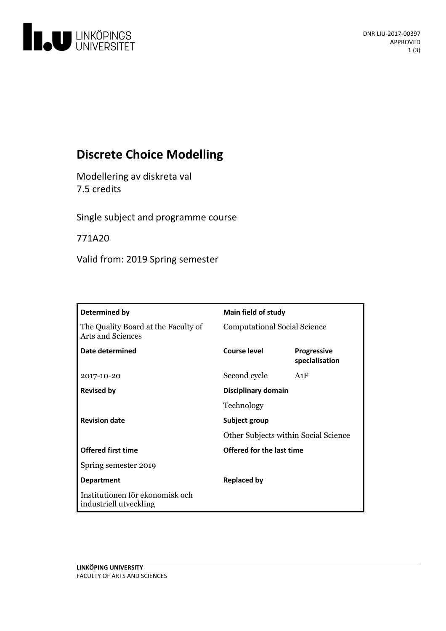

# **Discrete Choice Modelling**

Modellering av diskreta val 7.5 credits

Single subject and programme course

771A20

Valid from: 2019 Spring semester

| Determined by                                                   | <b>Main field of study</b>           |                                      |
|-----------------------------------------------------------------|--------------------------------------|--------------------------------------|
| The Quality Board at the Faculty of<br><b>Arts and Sciences</b> | <b>Computational Social Science</b>  |                                      |
| Date determined                                                 | Course level                         | <b>Progressive</b><br>specialisation |
| 2017-10-20                                                      | Second cycle                         | A1F                                  |
| <b>Revised by</b>                                               | Disciplinary domain                  |                                      |
|                                                                 | Technology                           |                                      |
| <b>Revision date</b>                                            | Subject group                        |                                      |
|                                                                 | Other Subjects within Social Science |                                      |
| <b>Offered first time</b>                                       | Offered for the last time            |                                      |
| Spring semester 2019                                            |                                      |                                      |
| <b>Department</b>                                               | <b>Replaced by</b>                   |                                      |
| Institutionen för ekonomisk och<br>industriell utveckling       |                                      |                                      |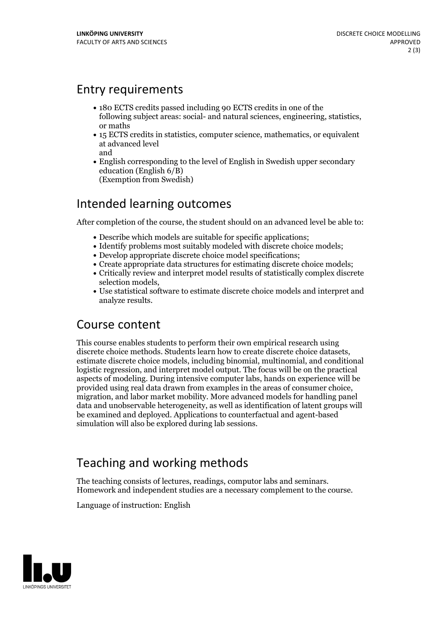#### Entry requirements

- 180 ECTS credits passed including 90 ECTS credits in one of the following subject areas: social- and natural sciences, engineering, statistics, or maths
- 15 ECTS credits in statistics, computer science, mathematics, or equivalent at advanced level and
- English corresponding to the level of English in Swedish upper secondary education (English 6/B) (Exemption from Swedish)

## Intended learning outcomes

After completion of the course, the student should on an advanced level be able to:

- Describe which models are suitable for specific applications;
- Identify problems most suitably modeled with discrete choice models;
- Develop appropriate discrete choice model specifications;
- Create appropriate data structures for estimating discrete choice models;
- Critically review and interpret model results of statistically complex discrete
- selection models,<br>• Use statistical software to estimate discrete choice models and interpret and analyze results.

### Course content

This course enables students to perform their own empirical research using discrete choice methods. Students learn how to create discrete choice datasets, estimate discrete choice models, including binomial, multinomial, and conditional logistic regression, and interpret model output. The focus will be on the practical aspects of modeling. During intensive computer labs, hands on experience will be provided using real data drawn from examples in the areas of consumer choice, migration, and labor market mobility. More advanced models for handling panel data and unobservable heterogeneity, as well as identification of latent groups will be examined and deployed. Applications to counterfactual and agent-based simulation will also be explored during lab sessions.

## Teaching and working methods

The teaching consists of lectures, readings, computor labs and seminars. Homework and independent studies are <sup>a</sup> necessary complement to the course.

Language of instruction: English